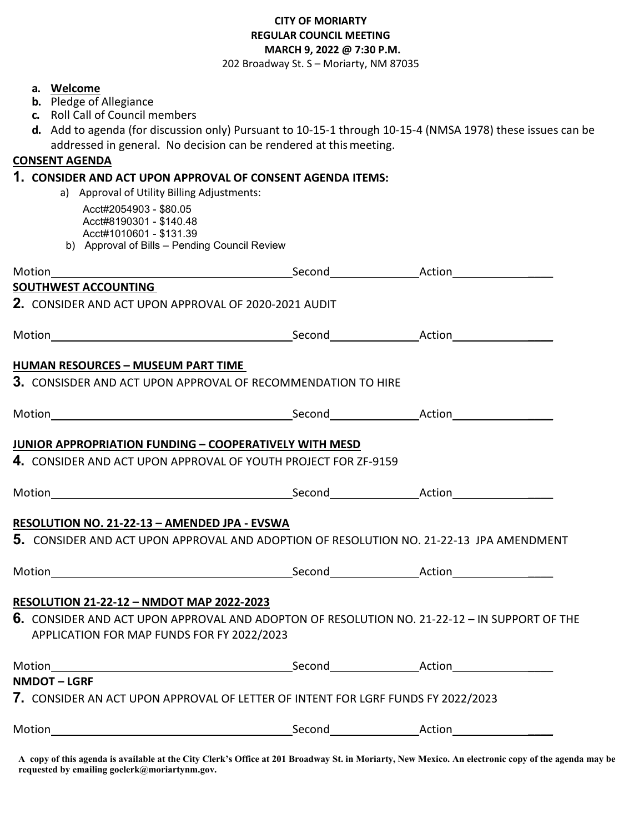### **CITY OF MORIARTY REGULAR COUNCIL MEETING MARCH 9, 2022 @ 7:30 P.M.**

202 Broadway St. S – Moriarty, NM 87035

#### **a. Welcome**

- **b.** Pledge of Allegiance
- **c.** Roll Call of Council members
- **d.** Add to agenda (for discussion only) Pursuant to 10-15-1 through 10-15-4 (NMSA 1978) these issues can be addressed in general. No decision can be rendered at thismeeting.

#### **CONSENT AGENDA**

#### **1. CONSIDER AND ACT UPON APPROVAL OF CONSENT AGENDA ITEMS:**

- a) Approval of Utility Billing Adjustments:
	- Acct#2054903 \$80.05 Acct#8190301 - \$140.48 Acct#1010601 - \$131.39
- b) Approval of Bills Pending Council Review

| <b>SOUTHWEST ACCOUNTING</b>                                                                                                                |  |
|--------------------------------------------------------------------------------------------------------------------------------------------|--|
| 2. CONSIDER AND ACT UPON APPROVAL OF 2020-2021 AUDIT                                                                                       |  |
|                                                                                                                                            |  |
| <b>HUMAN RESOURCES - MUSEUM PART TIME</b>                                                                                                  |  |
| 3. CONSISDER AND ACT UPON APPROVAL OF RECOMMENDATION TO HIRE                                                                               |  |
|                                                                                                                                            |  |
| <b>JUNIOR APPROPRIATION FUNDING - COOPERATIVELY WITH MESD</b>                                                                              |  |
| 4. CONSIDER AND ACT UPON APPROVAL OF YOUTH PROJECT FOR ZF-9159                                                                             |  |
|                                                                                                                                            |  |
| RESOLUTION NO. 21-22-13 - AMENDED JPA - EVSWA                                                                                              |  |
| <b>5.</b> CONSIDER AND ACT UPON APPROVAL AND ADOPTION OF RESOLUTION NO. 21-22-13 JPA AMENDMENT                                             |  |
|                                                                                                                                            |  |
| RESOLUTION 21-22-12 - NMDOT MAP 2022-2023                                                                                                  |  |
| 6. CONSIDER AND ACT UPON APPROVAL AND ADOPTON OF RESOLUTION NO. 21-22-12 - IN SUPPORT OF THE<br>APPLICATION FOR MAP FUNDS FOR FY 2022/2023 |  |
|                                                                                                                                            |  |
| <b>NMDOT-LGRF</b>                                                                                                                          |  |
| 7. CONSIDER AN ACT UPON APPROVAL OF LETTER OF INTENT FOR LGRF FUNDS FY 2022/2023                                                           |  |
|                                                                                                                                            |  |

**A copy of this agenda is available at the City Clerk's Office at 201 Broadway St. in Moriarty, New Mexico. An electronic copy of the agenda may be requested by emailing goclerk@moriartynm.gov.**